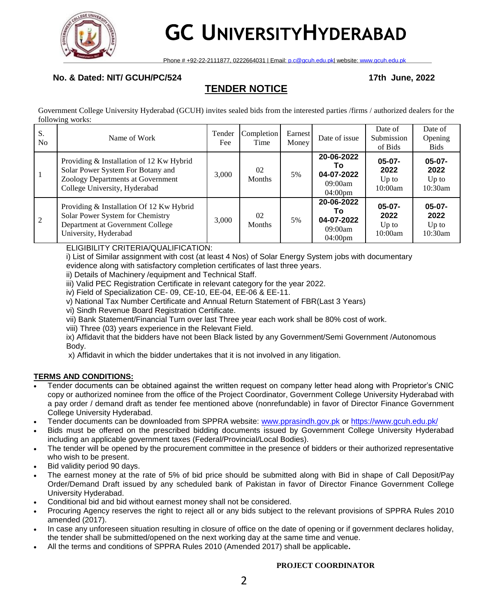

# **GC UNIVERSITYHYDERABAD**

Phone # +92-22-2111877, 0222664031 | Email: [p.c@gcuh.edu.pk|](mailto:p.c@gcuh.edu.pk) website: [www.gcuh.edu.pk](http://www.gcuh.edu.pk/)

# **No. & Dated: NIT/ GCUH/PC/524 17th June, 2022**

# **TENDER NOTICE**

Government College University Hyderabad (GCUH) invites sealed bids from the interested parties /firms / authorized dealers for the following works:

| S.<br>No. | Name of Work                                                                                                                                        | Tender<br>Fee | <b>Completion</b><br>Time | <b>Earnest</b><br>Money | Date of issue                                                  | Date of<br>Submission<br>of Bids       | Date of<br>Opening<br><b>Bids</b>      |
|-----------|-----------------------------------------------------------------------------------------------------------------------------------------------------|---------------|---------------------------|-------------------------|----------------------------------------------------------------|----------------------------------------|----------------------------------------|
|           | Providing & Installation of 12 Kw Hybrid<br>Solar Power System For Botany and<br>Zoology Departments at Government<br>College University, Hyderabad | 3.000         | 02<br><b>Months</b>       | 5%                      | 20-06-2022<br>Τo<br>04-07-2022<br>09:00am<br>$04:00 \text{pm}$ | $05-07-$<br>2022<br>$Up$ to<br>10:00am | $05-07-$<br>2022<br>$Up$ to<br>10:30am |
| 2         | Providing & Installation Of 12 Kw Hybrid<br>Solar Power System for Chemistry<br>Department at Government College<br>University, Hyderabad           | 3,000         | 02<br><b>Months</b>       | 5%                      | 20-06-2022<br>Т٥<br>04-07-2022<br>09:00am<br>$04:00 \text{pm}$ | $05-07-$<br>2022<br>$Up$ to<br>10:00am | $05-07-$<br>2022<br>Up to<br>10:30am   |

# ELIGIBILITY CRITERIA/QUALIFICATION:

i) List of Similar assignment with cost (at least 4 Nos) of Solar Energy System jobs with documentary evidence along with satisfactory completion certificates of last three years.

ii) Details of Machinery /equipment and Technical Staff.

iii) Valid PEC Registration Certificate in relevant category for the year 2022.

iv) Field of Specialization CE- 09, CE-10, EE-04, EE-06 & EE-11.

v) National Tax Number Certificate and Annual Return Statement of FBR(Last 3 Years)

vi) Sindh Revenue Board Registration Certificate.

vii) Bank Statement/Financial Turn over last Three year each work shall be 80% cost of work.

viii) Three (03) years experience in the Relevant Field.

ix) Affidavit that the bidders have not been Black listed by any Government/Semi Government /Autonomous Body.

x) Affidavit in which the bidder undertakes that it is not involved in any litigation.

# **TERMS AND CONDITIONS:**

- Tender documents can be obtained against the written request on company letter head along with Proprietor's CNIC copy or authorized nominee from the office of the Project Coordinator, Government College University Hyderabad with a pay order / demand draft as tender fee mentioned above (nonrefundable) in favor of Director Finance Government College University Hyderabad.
- Tender documents can be downloaded from SPPRA website: [www.pprasindh.gov.pk](http://www.pprasindh.gov.pk/) or<https://www.gcuh.edu.pk/>
- Bids must be offered on the prescribed bidding documents issued by Government College University Hyderabad including an applicable government taxes (Federal/Provincial/Local Bodies).
- The tender will be opened by the procurement committee in the presence of bidders or their authorized representative who wish to be present.
- Bid validity period 90 days.
- The earnest money at the rate of 5% of bid price should be submitted along with Bid in shape of Call Deposit/Pay Order/Demand Draft issued by any scheduled bank of Pakistan in favor of Director Finance Government College University Hyderabad.
- Conditional bid and bid without earnest money shall not be considered.
- Procuring Agency reserves the right to reject all or any bids subject to the relevant provisions of SPPRA Rules 2010 amended (2017).
- In case any unforeseen situation resulting in closure of office on the date of opening or if government declares holiday, the tender shall be submitted/opened on the next working day at the same time and venue.
- All the terms and conditions of SPPRA Rules 2010 (Amended 2017) shall be applicable**.**

### **PROJECT COORDINATOR**